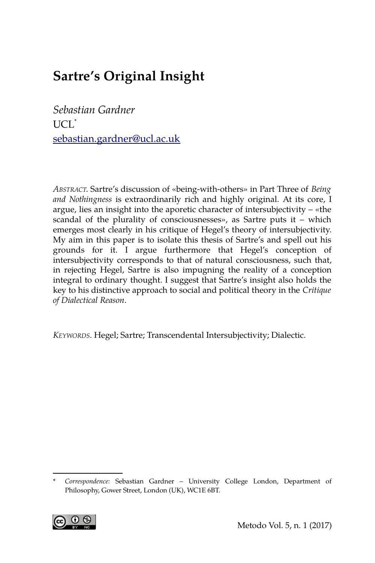# **Sartre's Original Insight**

*Sebastian Gardner* UCL[\\*](#page-0-0) [sebastian.gardner@ucl.ac.uk](mailto:sebastian.gardner@ucl.ac.uk)

*ABSTRACT*. Sartre's discussion of «being-with-others» in Part Three of *Being and Nothingness* is extraordinarily rich and highly original. At its core, I argue, lies an insight into the aporetic character of intersubjectivity – «the scandal of the plurality of consciousnesses», as Sartre puts it – which emerges most clearly in his critique of Hegel's theory of intersubjectivity. My aim in this paper is to isolate this thesis of Sartre's and spell out his grounds for it. I argue furthermore that Hegel's conception of intersubjectivity corresponds to that of natural consciousness, such that, in rejecting Hegel, Sartre is also impugning the reality of a conception integral to ordinary thought. I suggest that Sartre's insight also holds the key to his distinctive approach to social and political theory in the *Critique of Dialectical Reason*.

*KEYWORDS*. Hegel; Sartre; Transcendental Intersubjectivity; Dialectic.

<span id="page-0-0"></span><sup>\*</sup> *Correspondence:* Sebastian Gardner – University College London, Department of Philosophy, Gower Street, London (UK), WC1E 6BT.

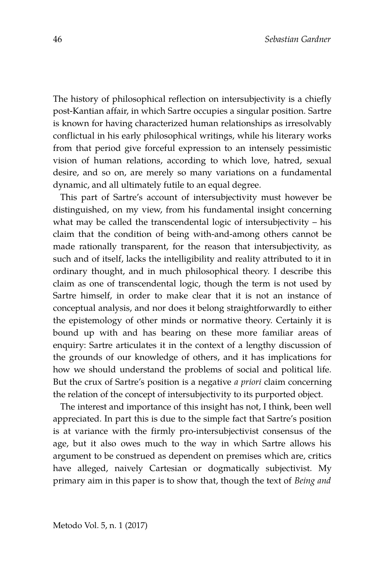The history of philosophical reflection on intersubjectivity is a chiefly post-Kantian affair, in which Sartre occupies a singular position. Sartre is known for having characterized human relationships as irresolvably conflictual in his early philosophical writings, while his literary works from that period give forceful expression to an intensely pessimistic vision of human relations, according to which love, hatred, sexual desire, and so on, are merely so many variations on a fundamental dynamic, and all ultimately futile to an equal degree.

This part of Sartre's account of intersubjectivity must however be distinguished, on my view, from his fundamental insight concerning what may be called the transcendental logic of intersubjectivity – his claim that the condition of being with-and-among others cannot be made rationally transparent, for the reason that intersubjectivity, as such and of itself, lacks the intelligibility and reality attributed to it in ordinary thought, and in much philosophical theory. I describe this claim as one of transcendental logic, though the term is not used by Sartre himself, in order to make clear that it is not an instance of conceptual analysis, and nor does it belong straightforwardly to either the epistemology of other minds or normative theory. Certainly it is bound up with and has bearing on these more familiar areas of enquiry: Sartre articulates it in the context of a lengthy discussion of the grounds of our knowledge of others, and it has implications for how we should understand the problems of social and political life. But the crux of Sartre's position is a negative *a priori* claim concerning the relation of the concept of intersubjectivity to its purported object.

The interest and importance of this insight has not, I think, been well appreciated. In part this is due to the simple fact that Sartre's position is at variance with the firmly pro-intersubjectivist consensus of the age, but it also owes much to the way in which Sartre allows his argument to be construed as dependent on premises which are, critics have alleged, naively Cartesian or dogmatically subjectivist. My primary aim in this paper is to show that, though the text of *Being and*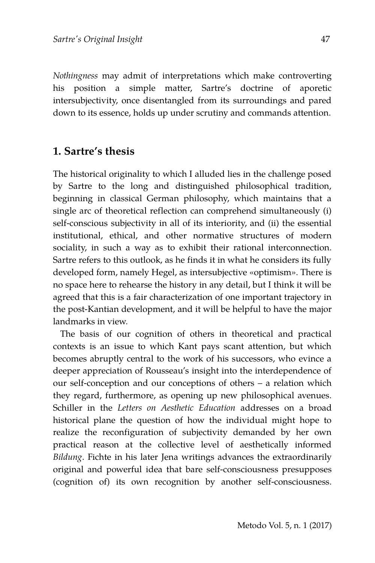*Nothingness* may admit of interpretations which make controverting his position a simple matter, Sartre's doctrine of aporetic intersubjectivity, once disentangled from its surroundings and pared down to its essence, holds up under scrutiny and commands attention.

#### **1. Sartre's thesis**

The historical originality to which I alluded lies in the challenge posed by Sartre to the long and distinguished philosophical tradition, beginning in classical German philosophy, which maintains that a single arc of theoretical reflection can comprehend simultaneously (i) self-conscious subjectivity in all of its interiority, and (ii) the essential institutional, ethical, and other normative structures of modern sociality, in such a way as to exhibit their rational interconnection. Sartre refers to this outlook, as he finds it in what he considers its fully developed form, namely Hegel, as intersubjective «optimism». There is no space here to rehearse the history in any detail, but I think it will be agreed that this is a fair characterization of one important trajectory in the post-Kantian development, and it will be helpful to have the major landmarks in view.

The basis of our cognition of others in theoretical and practical contexts is an issue to which Kant pays scant attention, but which becomes abruptly central to the work of his successors, who evince a deeper appreciation of Rousseau's insight into the interdependence of our self-conception and our conceptions of others – a relation which they regard, furthermore, as opening up new philosophical avenues. Schiller in the *Letters on Aesthetic Education* addresses on a broad historical plane the question of how the individual might hope to realize the reconfiguration of subjectivity demanded by her own practical reason at the collective level of aesthetically informed *Bildung*. Fichte in his later Jena writings advances the extraordinarily original and powerful idea that bare self-consciousness presupposes (cognition of) its own recognition by another self-consciousness.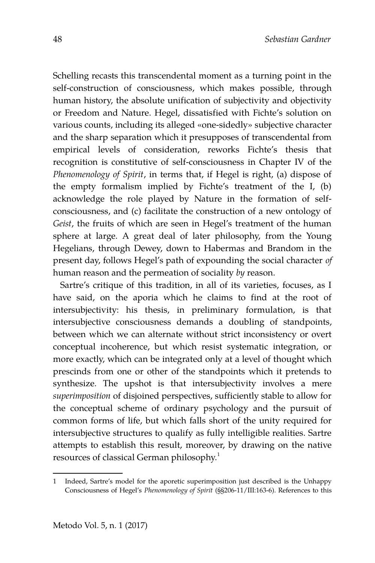Schelling recasts this transcendental moment as a turning point in the self-construction of consciousness, which makes possible, through human history, the absolute unification of subjectivity and objectivity or Freedom and Nature. Hegel, dissatisfied with Fichte's solution on various counts, including its alleged «one-sidedly» subjective character and the sharp separation which it presupposes of transcendental from empirical levels of consideration, reworks Fichte's thesis that recognition is constitutive of self-consciousness in Chapter IV of the *Phenomenology of Spirit*, in terms that, if Hegel is right, (a) dispose of the empty formalism implied by Fichte's treatment of the I, (b) acknowledge the role played by Nature in the formation of selfconsciousness, and (c) facilitate the construction of a new ontology of *Geist*, the fruits of which are seen in Hegel's treatment of the human sphere at large. A great deal of later philosophy, from the Young Hegelians, through Dewey, down to Habermas and Brandom in the present day, follows Hegel's path of expounding the social character *of* human reason and the permeation of sociality *by* reason.

Sartre's critique of this tradition, in all of its varieties, focuses, as I have said, on the aporia which he claims to find at the root of intersubjectivity: his thesis, in preliminary formulation, is that intersubjective consciousness demands a doubling of standpoints, between which we can alternate without strict inconsistency or overt conceptual incoherence, but which resist systematic integration, or more exactly, which can be integrated only at a level of thought which prescinds from one or other of the standpoints which it pretends to synthesize. The upshot is that intersubjectivity involves a mere *superimposition* of disjoined perspectives, sufficiently stable to allow for the conceptual scheme of ordinary psychology and the pursuit of common forms of life, but which falls short of the unity required for intersubjective structures to qualify as fully intelligible realities. Sartre attempts to establish this result, moreover, by drawing on the native resources of classical German philosophy.<sup>[1](#page-3-0)</sup>

<span id="page-3-0"></span><sup>1</sup> Indeed, Sartre's model for the aporetic superimposition just described is the Unhappy Consciousness of Hegel's *Phenomenology of Spirit* (§§206-11/III:163-6). References to this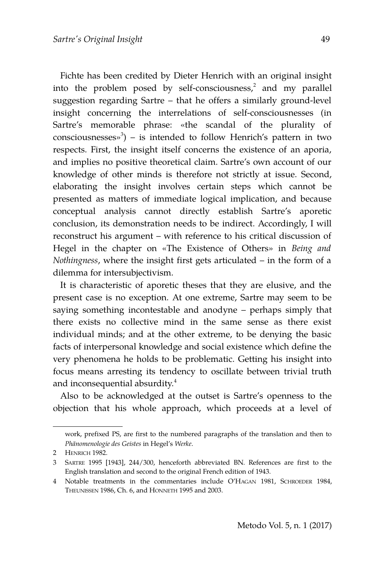Fichte has been credited by Dieter Henrich with an original insight into the problem posed by self-consciousness, $^2$  $^2$  and my parallel suggestion regarding Sartre – that he offers a similarly ground-level insight concerning the interrelations of self-consciousnesses (in Sartre's memorable phrase: «the scandal of the plurality of consciousnesses» $3$ ) – is intended to follow Henrich's pattern in two respects. First, the insight itself concerns the existence of an aporia, and implies no positive theoretical claim. Sartre's own account of our knowledge of other minds is therefore not strictly at issue. Second, elaborating the insight involves certain steps which cannot be presented as matters of immediate logical implication, and because conceptual analysis cannot directly establish Sartre's aporetic conclusion, its demonstration needs to be indirect. Accordingly, I will reconstruct his argument – with reference to his critical discussion of Hegel in the chapter on «The Existence of Others» in *Being and Nothingness*, where the insight first gets articulated – in the form of a dilemma for intersubjectivism.

It is characteristic of aporetic theses that they are elusive, and the present case is no exception. At one extreme, Sartre may seem to be saying something incontestable and anodyne – perhaps simply that there exists no collective mind in the same sense as there exist individual minds; and at the other extreme, to be denying the basic facts of interpersonal knowledge and social existence which define the very phenomena he holds to be problematic. Getting his insight into focus means arresting its tendency to oscillate between trivial truth and inconsequential absurdity.<sup>[4](#page-4-2)</sup>

Also to be acknowledged at the outset is Sartre's openness to the objection that his whole approach, which proceeds at a level of

work, prefixed PS, are first to the numbered paragraphs of the translation and then to *Phänomenologie des Geistes* in Hegel's *Werke*.

<span id="page-4-0"></span><sup>2</sup> HENRICH 1982.

<span id="page-4-1"></span><sup>3</sup> SARTRE 1995 [1943], 244/300, henceforth abbreviated BN. References are first to the English translation and second to the original French edition of 1943.

<span id="page-4-2"></span><sup>4</sup> Notable treatments in the commentaries include O'HAGAN 1981, SCHROEDER 1984, THEUNISSEN 1986, Ch. 6, and HONNETH 1995 and 2003.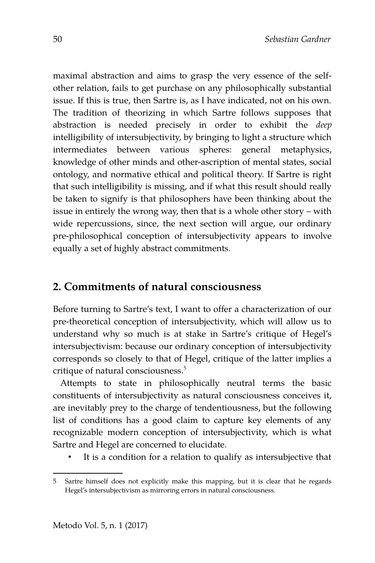maximal abstraction and aims to grasp the very essence of the selfother relation, fails to get purchase on any philosophically substantial issue. If this is true, then Sartre is, as I have indicated, not on his own. The tradition of theorizing in which Sartre follows supposes that abstraction is needed precisely in order to exhibit the *deep* intelligibility of intersubjectivity, by bringing to light a structure which intermediates between various spheres: general metaphysics, knowledge of other minds and other-ascription of mental states, social ontology, and normative ethical and political theory. If Sartre is right that such intelligibility is missing, and if what this result should really be taken to signify is that philosophers have been thinking about the issue in entirely the wrong way, then that is a whole other story – with wide repercussions, since, the next section will argue, our ordinary pre-philosophical conception of intersubjectivity appears to involve equally a set of highly abstract commitments.

# **2. Commitments of natural consciousness**

Before turning to Sartre's text, I want to offer a characterization of our pre-theoretical conception of intersubjectivity, which will allow us to understand why so much is at stake in Sartre's critique of Hegel's intersubjectivism: because our ordinary conception of intersubjectivity corresponds so closely to that of Hegel, critique of the latter implies a critique of natural consciousness.<sup>[5](#page-5-0)</sup>

Attempts to state in philosophically neutral terms the basic constituents of intersubjectivity as natural consciousness conceives it, are inevitably prey to the charge of tendentiousness, but the following list of conditions has a good claim to capture key elements of any recognizable modern conception of intersubjectivity, which is what Sartre and Hegel are concerned to elucidate.

It is a condition for a relation to qualify as intersubjective that

<span id="page-5-0"></span><sup>5</sup> Sartre himself does not explicitly make this mapping, but it is clear that he regards Hegel's intersubjectivism as mirroring errors in natural consciousness.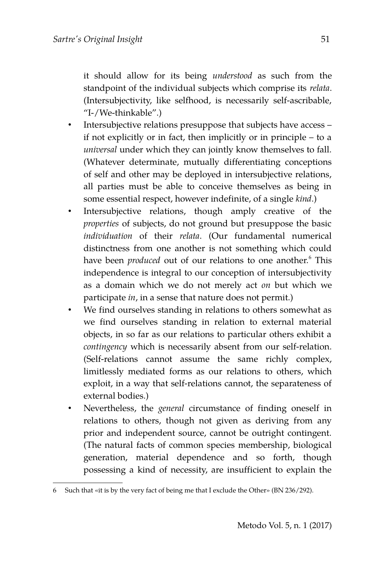it should allow for its being *understood* as such from the standpoint of the individual subjects which comprise its *relata*. (Intersubjectivity, like selfhood, is necessarily self-ascribable, "I-/We-thinkable".)

- Intersubjective relations presuppose that subjects have access if not explicitly or in fact, then implicitly or in principle – to a *universal* under which they can jointly know themselves to fall. (Whatever determinate, mutually differentiating conceptions of self and other may be deployed in intersubjective relations, all parties must be able to conceive themselves as being in some essential respect, however indefinite, of a single *kind*.)
- Intersubjective relations, though amply creative of the *properties* of subjects, do not ground but presuppose the basic *individuation* of their *relata*. (Our fundamental numerical distinctness from one another is not something which could have been *produced* out of our relations to one another.<sup>[6](#page-6-0)</sup> This independence is integral to our conception of intersubjectivity as a domain which we do not merely act *on* but which we participate *in*, in a sense that nature does not permit.)
- We find ourselves standing in relations to others somewhat as we find ourselves standing in relation to external material objects, in so far as our relations to particular others exhibit a *contingency* which is necessarily absent from our self-relation. (Self-relations cannot assume the same richly complex, limitlessly mediated forms as our relations to others, which exploit, in a way that self-relations cannot, the separateness of external bodies.)
- Nevertheless, the *general* circumstance of finding oneself in relations to others, though not given as deriving from any prior and independent source, cannot be outright contingent. (The natural facts of common species membership, biological generation, material dependence and so forth, though possessing a kind of necessity, are insufficient to explain the

<span id="page-6-0"></span><sup>6</sup> Such that «it is by the very fact of being me that I exclude the Other» (BN 236/292).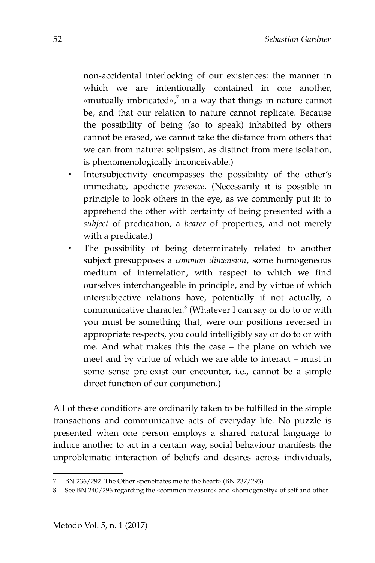non-accidental interlocking of our existences: the manner in which we are intentionally contained in one another, «mutually imbricated»,<sup>[7](#page-7-0)</sup> in a way that things in nature cannot be, and that our relation to nature cannot replicate. Because the possibility of being (so to speak) inhabited by others cannot be erased, we cannot take the distance from others that we can from nature: solipsism, as distinct from mere isolation, is phenomenologically inconceivable.)

- Intersubjectivity encompasses the possibility of the other's immediate, apodictic *presence*. (Necessarily it is possible in principle to look others in the eye, as we commonly put it: to apprehend the other with certainty of being presented with a *subject* of predication, a *bearer* of properties, and not merely with a predicate.)
- The possibility of being determinately related to another subject presupposes a *common dimension*, some homogeneous medium of interrelation, with respect to which we find ourselves interchangeable in principle, and by virtue of which intersubjective relations have, potentially if not actually, a communicative character.<sup>[8](#page-7-1)</sup> (Whatever I can say or do to or with you must be something that, were our positions reversed in appropriate respects, you could intelligibly say or do to or with me. And what makes this the case – the plane on which we meet and by virtue of which we are able to interact – must in some sense pre-exist our encounter, i.e., cannot be a simple direct function of our conjunction.)

All of these conditions are ordinarily taken to be fulfilled in the simple transactions and communicative acts of everyday life. No puzzle is presented when one person employs a shared natural language to induce another to act in a certain way, social behaviour manifests the unproblematic interaction of beliefs and desires across individuals,

<span id="page-7-0"></span><sup>7</sup> BN 236/292. The Other «penetrates me to the heart» (BN 237/293).

<span id="page-7-1"></span><sup>8</sup> See BN 240/296 regarding the «common measure» and «homogeneity» of self and other.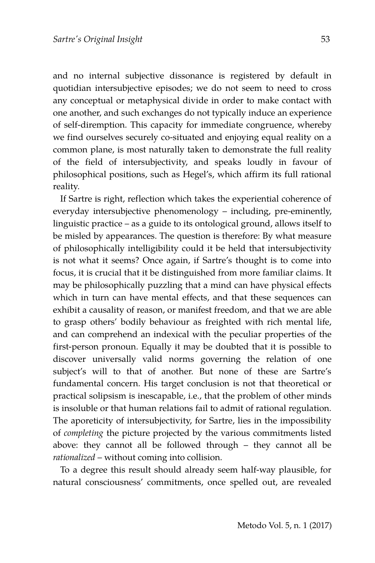and no internal subjective dissonance is registered by default in quotidian intersubjective episodes; we do not seem to need to cross any conceptual or metaphysical divide in order to make contact with one another, and such exchanges do not typically induce an experience of self-diremption. This capacity for immediate congruence, whereby we find ourselves securely co-situated and enjoying equal reality on a common plane, is most naturally taken to demonstrate the full reality of the field of intersubjectivity, and speaks loudly in favour of philosophical positions, such as Hegel's, which affirm its full rational reality.

If Sartre is right, reflection which takes the experiential coherence of everyday intersubjective phenomenology – including, pre-eminently, linguistic practice – as a guide to its ontological ground, allows itself to be misled by appearances. The question is therefore: By what measure of philosophically intelligibility could it be held that intersubjectivity is not what it seems? Once again, if Sartre's thought is to come into focus, it is crucial that it be distinguished from more familiar claims. It may be philosophically puzzling that a mind can have physical effects which in turn can have mental effects, and that these sequences can exhibit a causality of reason, or manifest freedom, and that we are able to grasp others' bodily behaviour as freighted with rich mental life, and can comprehend an indexical with the peculiar properties of the first-person pronoun. Equally it may be doubted that it is possible to discover universally valid norms governing the relation of one subject's will to that of another. But none of these are Sartre's fundamental concern. His target conclusion is not that theoretical or practical solipsism is inescapable, i.e., that the problem of other minds is insoluble or that human relations fail to admit of rational regulation. The aporeticity of intersubjectivity, for Sartre, lies in the impossibility of *completing* the picture projected by the various commitments listed above: they cannot all be followed through – they cannot all be *rationalized* – without coming into collision.

To a degree this result should already seem half-way plausible, for natural consciousness' commitments, once spelled out, are revealed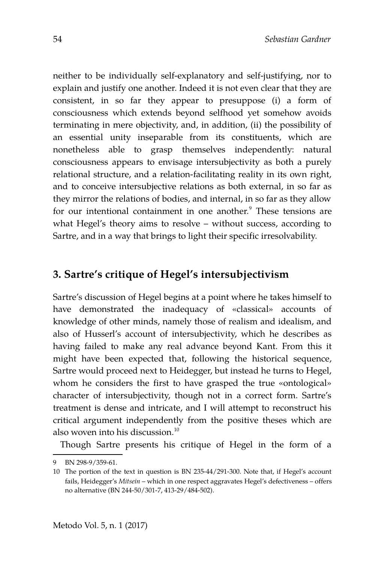neither to be individually self-explanatory and self-justifying, nor to explain and justify one another. Indeed it is not even clear that they are consistent, in so far they appear to presuppose (i) a form of consciousness which extends beyond selfhood yet somehow avoids terminating in mere objectivity, and, in addition, (ii) the possibility of an essential unity inseparable from its constituents, which are nonetheless able to grasp themselves independently: natural consciousness appears to envisage intersubjectivity as both a purely relational structure, and a relation-facilitating reality in its own right, and to conceive intersubjective relations as both external, in so far as they mirror the relations of bodies, and internal, in so far as they allow for our intentional containment in one another.<sup>[9](#page-9-0)</sup> These tensions are what Hegel's theory aims to resolve – without success, according to Sartre, and in a way that brings to light their specific irresolvability.

# **3. Sartre's critique of Hegel's intersubjectivism**

Sartre's discussion of Hegel begins at a point where he takes himself to have demonstrated the inadequacy of «classical» accounts of knowledge of other minds, namely those of realism and idealism, and also of Husserl's account of intersubjectivity, which he describes as having failed to make any real advance beyond Kant. From this it might have been expected that, following the historical sequence, Sartre would proceed next to Heidegger, but instead he turns to Hegel, whom he considers the first to have grasped the true «ontological» character of intersubjectivity, though not in a correct form. Sartre's treatment is dense and intricate, and I will attempt to reconstruct his critical argument independently from the positive theses which are also woven into his discussion.<sup>[10](#page-9-1)</sup>

Though Sartre presents his critique of Hegel in the form of a

<span id="page-9-0"></span><sup>9</sup> BN 298-9/359-61.

<span id="page-9-1"></span><sup>10</sup> The portion of the text in question is BN 235-44/291-300. Note that, if Hegel's account fails, Heidegger's *Mitsein* – which in one respect aggravates Hegel's defectiveness – offers no alternative (BN 244-50/301-7, 413-29/484-502).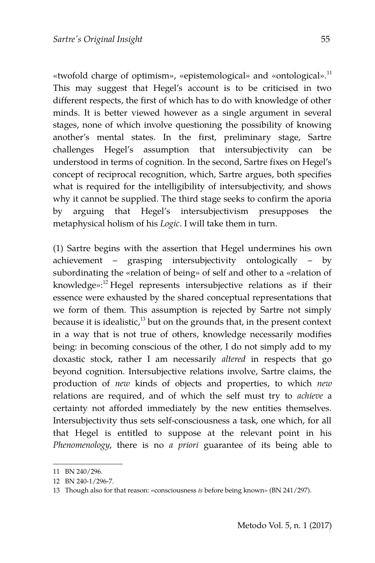«twofold charge of optimism», «epistemological» and «ontological».<sup>[11](#page-10-0)</sup> This may suggest that Hegel's account is to be criticised in two different respects, the first of which has to do with knowledge of other minds. It is better viewed however as a single argument in several stages, none of which involve questioning the possibility of knowing another's mental states. In the first, preliminary stage, Sartre challenges Hegel's assumption that intersubjectivity can be understood in terms of cognition. In the second, Sartre fixes on Hegel's concept of reciprocal recognition, which, Sartre argues, both specifies what is required for the intelligibility of intersubjectivity, and shows why it cannot be supplied. The third stage seeks to confirm the aporia by arguing that Hegel's intersubjectivism presupposes the metaphysical holism of his *Logic*. I will take them in turn.

(1) Sartre begins with the assertion that Hegel undermines his own achievement – grasping intersubjectivity ontologically – by subordinating the «relation of being» of self and other to a «relation of knowledge»:<sup>[12](#page-10-1)</sup> Hegel represents intersubjective relations as if their essence were exhausted by the shared conceptual representations that we form of them. This assumption is rejected by Sartre not simply because it is idealistic, $13$  but on the grounds that, in the present context in a way that is not true of others, knowledge necessarily modifies being: in becoming conscious of the other, I do not simply add to my doxastic stock, rather I am necessarily *altered* in respects that go beyond cognition. Intersubjective relations involve, Sartre claims, the production of *new* kinds of objects and properties, to which *new* relations are required, and of which the self must try to *achieve* a certainty not afforded immediately by the new entities themselves. Intersubjectivity thus sets self-consciousness a task, one which, for all that Hegel is entitled to suppose at the relevant point in his *Phenomenology*, there is no *a priori* guarantee of its being able to

<span id="page-10-0"></span><sup>11</sup> BN 240/296.

<span id="page-10-1"></span><sup>12</sup> BN 240-1/296-7.

<span id="page-10-2"></span><sup>13</sup> Though also for that reason: «consciousness *is* before being known» (BN 241/297).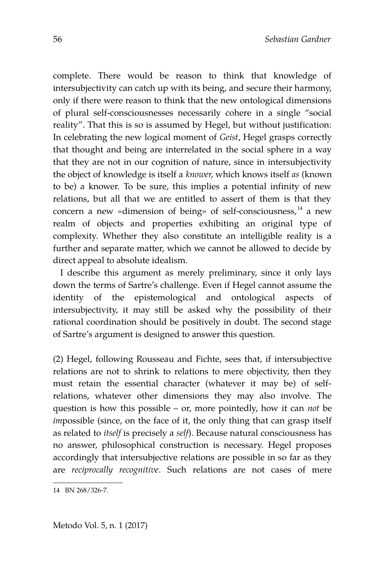complete. There would be reason to think that knowledge of intersubjectivity can catch up with its being, and secure their harmony, only if there were reason to think that the new ontological dimensions of plural self-consciousnesses necessarily cohere in a single "social reality". That this is so is assumed by Hegel, but without justification: In celebrating the new logical moment of *Geist*, Hegel grasps correctly that thought and being are interrelated in the social sphere in a way that they are not in our cognition of nature, since in intersubjectivity the object of knowledge is itself a *knower*, which knows itself *as* (known to be) a knower. To be sure, this implies a potential infinity of new relations, but all that we are entitled to assert of them is that they concern a new «dimension of being» of self-consciousness, $14$  a new realm of objects and properties exhibiting an original type of complexity. Whether they also constitute an intelligible reality is a further and separate matter, which we cannot be allowed to decide by direct appeal to absolute idealism.

I describe this argument as merely preliminary, since it only lays down the terms of Sartre's challenge. Even if Hegel cannot assume the identity of the epistemological and ontological aspects of intersubjectivity, it may still be asked why the possibility of their rational coordination should be positively in doubt. The second stage of Sartre's argument is designed to answer this question.

(2) Hegel, following Rousseau and Fichte, sees that, if intersubjective relations are not to shrink to relations to mere objectivity, then they must retain the essential character (whatever it may be) of selfrelations, whatever other dimensions they may also involve. The question is how this possible – or, more pointedly, how it can *not* be *impossible* (since, on the face of it, the only thing that can grasp itself as related to *itself* is precisely a *self*). Because natural consciousness has no answer, philosophical construction is necessary. Hegel proposes accordingly that intersubjective relations are possible in so far as they are *reciprocally recognitive*. Such relations are not cases of mere

<span id="page-11-0"></span><sup>14</sup> BN 268/326-7.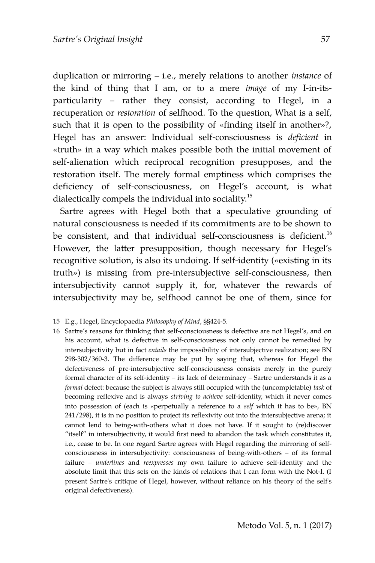duplication or mirroring – i.e., merely relations to another *instance* of the kind of thing that I am, or to a mere *image* of my I-in-itsparticularity – rather they consist, according to Hegel, in a recuperation or *restoration* of selfhood. To the question, What is a self, such that it is open to the possibility of «finding itself in another»?, Hegel has an answer: Individual self-consciousness is *deficient* in «truth» in a way which makes possible both the initial movement of self-alienation which reciprocal recognition presupposes, and the restoration itself. The merely formal emptiness which comprises the deficiency of self-consciousness, on Hegel's account, is what dialectically compels the individual into sociality.[15](#page-12-0)

Sartre agrees with Hegel both that a speculative grounding of natural consciousness is needed if its commitments are to be shown to be consistent, and that individual self-consciousness is deficient.<sup>[16](#page-12-1)</sup> However, the latter presupposition, though necessary for Hegel's recognitive solution, is also its undoing. If self-identity («existing in its truth») is missing from pre-intersubjective self-consciousness, then intersubjectivity cannot supply it, for, whatever the rewards of intersubjectivity may be, selfhood cannot be one of them, since for

<span id="page-12-0"></span><sup>15</sup> E.g., Hegel, Encyclopaedia *Philosophy of Mind*, §§424-5.

<span id="page-12-1"></span><sup>16</sup> Sartre's reasons for thinking that self-consciousness is defective are not Hegel's, and on his account, what is defective in self-consciousness not only cannot be remedied by intersubjectivity but in fact *entails* the impossibility of intersubjective realization; see BN 298-302/360-3. The difference may be put by saying that, whereas for Hegel the defectiveness of pre-intersubjective self-consciousness consists merely in the purely formal character of its self-identity – its lack of determinacy – Sartre understands it as a *formal* defect: because the subject is always still occupied with the (uncompletable) *task* of becoming reflexive and is always *striving to achieve* self-identity, which it never comes into possession of (each is «perpetually a reference to a *self* which it has to be», BN 241/298), it is in no position to project its reflexivity out into the intersubjective arena; it cannot lend to being-with-others what it does not have. If it sought to (re)discover "itself" in intersubjectivity, it would first need to abandon the task which constitutes it, i.e., cease to be. In one regard Sartre agrees with Hegel regarding the mirroring of selfconsciousness in intersubjectivity: consciousness of being-with-others – of its formal failure – *underlines* and *reexpresses* my own failure to achieve self-identity and the absolute limit that this sets on the kinds of relations that I can form with the Not-I. (I present Sartre's critique of Hegel, however, without reliance on his theory of the self's original defectiveness).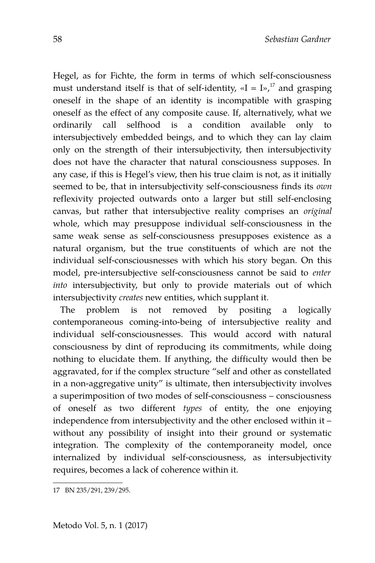Hegel, as for Fichte, the form in terms of which self-consciousness must understand itself is that of self-identity,  $\alpha I = I \nu$ ,<sup>[17](#page-13-0)</sup> and grasping oneself in the shape of an identity is incompatible with grasping oneself as the effect of any composite cause. If, alternatively, what we ordinarily call selfhood is a condition available only to intersubjectively embedded beings, and to which they can lay claim only on the strength of their intersubjectivity, then intersubjectivity does not have the character that natural consciousness supposes. In any case, if this is Hegel's view, then his true claim is not, as it initially seemed to be, that in intersubjectivity self-consciousness finds its *own* reflexivity projected outwards onto a larger but still self-enclosing canvas, but rather that intersubjective reality comprises an *original* whole, which may presuppose individual self-consciousness in the same weak sense as self-consciousness presupposes existence as a natural organism, but the true constituents of which are not the individual self-consciousnesses with which his story began. On this model, pre-intersubjective self-consciousness cannot be said to *enter into* intersubjectivity, but only to provide materials out of which intersubjectivity *creates* new entities, which supplant it.

The problem is not removed by positing a logically contemporaneous coming-into-being of intersubjective reality and individual self-consciousnesses. This would accord with natural consciousness by dint of reproducing its commitments, while doing nothing to elucidate them. If anything, the difficulty would then be aggravated, for if the complex structure "self and other as constellated in a non-aggregative unity" is ultimate, then intersubjectivity involves a superimposition of two modes of self-consciousness – consciousness of oneself as two different *types* of entity, the one enjoying independence from intersubjectivity and the other enclosed within it – without any possibility of insight into their ground or systematic integration. The complexity of the contemporaneity model, once internalized by individual self-consciousness, as intersubjectivity requires, becomes a lack of coherence within it.

<span id="page-13-0"></span><sup>17</sup> BN 235/291, 239/295.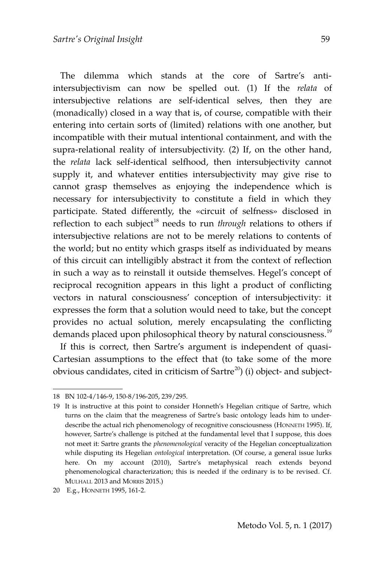The dilemma which stands at the core of Sartre's antiintersubjectivism can now be spelled out. (1) If the *relata* of intersubjective relations are self-identical selves, then they are (monadically) closed in a way that is, of course, compatible with their entering into certain sorts of (limited) relations with one another, but incompatible with their mutual intentional containment, and with the supra-relational reality of intersubjectivity. (2) If, on the other hand, the *relata* lack self-identical selfhood, then intersubjectivity cannot supply it, and whatever entities intersubjectivity may give rise to cannot grasp themselves as enjoying the independence which is necessary for intersubjectivity to constitute a field in which they participate. Stated differently, the «circuit of selfness» disclosed in reflection to each subject<sup>[18](#page-14-0)</sup> needs to run *through* relations to others if intersubjective relations are not to be merely relations to contents of the world; but no entity which grasps itself as individuated by means of this circuit can intelligibly abstract it from the context of reflection in such a way as to reinstall it outside themselves. Hegel's concept of reciprocal recognition appears in this light a product of conflicting vectors in natural consciousness' conception of intersubjectivity: it expresses the form that a solution would need to take, but the concept provides no actual solution, merely encapsulating the conflicting demands placed upon philosophical theory by natural consciousness.<sup>[19](#page-14-1)</sup>

If this is correct, then Sartre's argument is independent of quasi-Cartesian assumptions to the effect that (to take some of the more obvious candidates, cited in criticism of Sartre<sup>[20](#page-14-2)</sup>) (i) object- and subject-

<span id="page-14-0"></span><sup>18</sup> BN 102-4/146-9, 150-8/196-205, 239/295.

<span id="page-14-1"></span><sup>19</sup> It is instructive at this point to consider Honneth's Hegelian critique of Sartre, which turns on the claim that the meagreness of Sartre's basic ontology leads him to underdescribe the actual rich phenomenology of recognitive consciousness (HONNETH 1995). If, however, Sartre's challenge is pitched at the fundamental level that I suppose, this does not meet it: Sartre grants the *phenomenological* veracity of the Hegelian conceptualization while disputing its Hegelian *ontological* interpretation. (Of course, a general issue lurks here. On my account (2010), Sartre's metaphysical reach extends beyond phenomenological characterization; this is needed if the ordinary is to be revised. Cf. MULHALL 2013 and MORRIS 2015.)

<span id="page-14-2"></span><sup>20</sup> E.g., HONNETH 1995, 161-2.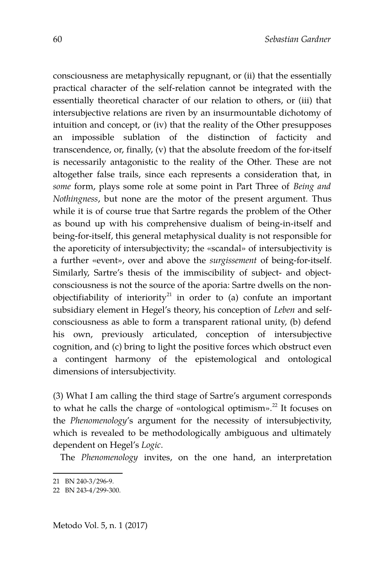consciousness are metaphysically repugnant, or (ii) that the essentially practical character of the self-relation cannot be integrated with the essentially theoretical character of our relation to others, or (iii) that intersubjective relations are riven by an insurmountable dichotomy of intuition and concept, or (iv) that the reality of the Other presupposes an impossible sublation of the distinction of facticity and transcendence, or, finally, (v) that the absolute freedom of the for-itself is necessarily antagonistic to the reality of the Other. These are not altogether false trails, since each represents a consideration that, in *some* form, plays some role at some point in Part Three of *Being and Nothingness*, but none are the motor of the present argument. Thus while it is of course true that Sartre regards the problem of the Other as bound up with his comprehensive dualism of being-in-itself and being-for-itself, this general metaphysical duality is not responsible for the aporeticity of intersubjectivity; the «scandal» of intersubjectivity is a further «event», over and above the *surgissement* of being-for-itself. Similarly, Sartre's thesis of the immiscibility of subject- and objectconsciousness is not the source of the aporia: Sartre dwells on the non-objectifiability of interiority<sup>[21](#page-15-0)</sup> in order to (a) confute an important subsidiary element in Hegel's theory, his conception of *Leben* and selfconsciousness as able to form a transparent rational unity, (b) defend his own, previously articulated, conception of intersubjective cognition, and (c) bring to light the positive forces which obstruct even a contingent harmony of the epistemological and ontological dimensions of intersubjectivity.

(3) What I am calling the third stage of Sartre's argument corresponds to what he calls the charge of «ontological optimism».<sup>[22](#page-15-1)</sup> It focuses on the *Phenomenology*'s argument for the necessity of intersubjectivity, which is revealed to be methodologically ambiguous and ultimately dependent on Hegel's *Logic*.

The *Phenomenology* invites, on the one hand, an interpretation

Metodo Vol. 5, n. 1 (2017)

<span id="page-15-0"></span><sup>21</sup> BN 240-3/296-9.

<span id="page-15-1"></span><sup>22</sup> BN 243-4/299-300.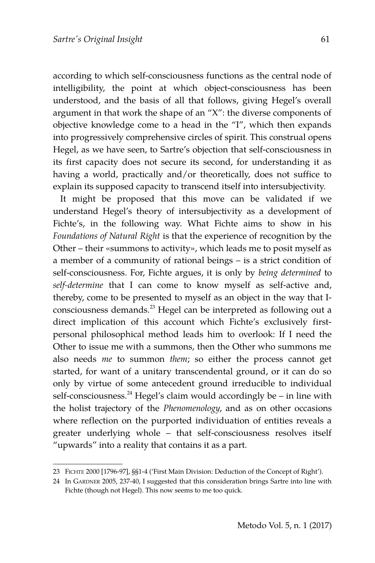according to which self-consciousness functions as the central node of intelligibility, the point at which object-consciousness has been understood, and the basis of all that follows, giving Hegel's overall argument in that work the shape of an "X": the diverse components of objective knowledge come to a head in the "I", which then expands into progressively comprehensive circles of spirit. This construal opens Hegel, as we have seen, to Sartre's objection that self-consciousness in its first capacity does not secure its second, for understanding it as having a world, practically and/or theoretically, does not suffice to explain its supposed capacity to transcend itself into intersubjectivity.

It might be proposed that this move can be validated if we understand Hegel's theory of intersubjectivity as a development of Fichte's, in the following way. What Fichte aims to show in his *Foundations of Natural Right* is that the experience of recognition by the Other – their «summons to activity», which leads me to posit myself as a member of a community of rational beings – is a strict condition of self-consciousness. For, Fichte argues, it is only by *being determined* to *self-determine* that I can come to know myself as self-active and, thereby, come to be presented to myself as an object in the way that I-consciousness demands.<sup>[23](#page-16-0)</sup> Hegel can be interpreted as following out a direct implication of this account which Fichte's exclusively firstpersonal philosophical method leads him to overlook: If I need the Other to issue me with a summons, then the Other who summons me also needs *me* to summon *them*; so either the process cannot get started, for want of a unitary transcendental ground, or it can do so only by virtue of some antecedent ground irreducible to individual self-consciousness.<sup>[24](#page-16-1)</sup> Hegel's claim would accordingly be – in line with the holist trajectory of the *Phenomenology*, and as on other occasions where reflection on the purported individuation of entities reveals a greater underlying whole – that self-consciousness resolves itself "upwards" into a reality that contains it as a part.

<span id="page-16-0"></span><sup>23</sup> FICHTE 2000 [1796-97], §§1-4 ('First Main Division: Deduction of the Concept of Right').

<span id="page-16-1"></span><sup>24</sup> In GARDNER 2005, 237-40, I suggested that this consideration brings Sartre into line with Fichte (though not Hegel). This now seems to me too quick.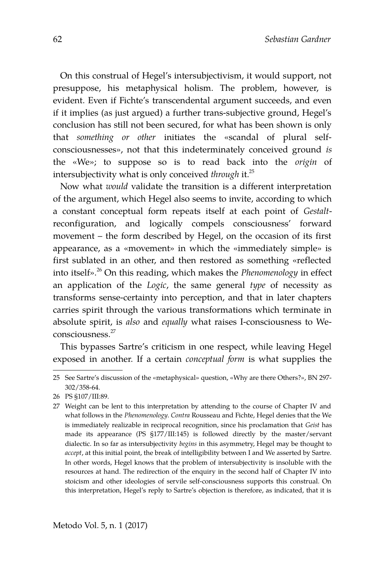On this construal of Hegel's intersubjectivism, it would support, not presuppose, his metaphysical holism. The problem, however, is evident. Even if Fichte's transcendental argument succeeds, and even if it implies (as just argued) a further trans-subjective ground, Hegel's conclusion has still not been secured, for what has been shown is only that *something or other* initiates the «scandal of plural selfconsciousnesses», not that this indeterminately conceived ground *is* the «We»; to suppose so is to read back into the *origin* of intersubjectivity what is only conceived *through* it.[25](#page-17-0)

Now what *would* validate the transition is a different interpretation of the argument, which Hegel also seems to invite, according to which a constant conceptual form repeats itself at each point of *Gestalt*reconfiguration, and logically compels consciousness' forward movement – the form described by Hegel, on the occasion of its first appearance, as a «movement» in which the «immediately simple» is first sublated in an other, and then restored as something «reflected into itself».[26](#page-17-1) On this reading, which makes the *Phenomenology* in effect an application of the *Logic*, the same general *type* of necessity as transforms sense-certainty into perception, and that in later chapters carries spirit through the various transformations which terminate in absolute spirit, is *also* and *equally* what raises I-consciousness to Weconsciousness.[27](#page-17-2)

This bypasses Sartre's criticism in one respect, while leaving Hegel exposed in another. If a certain *conceptual form* is what supplies the

<span id="page-17-0"></span><sup>25</sup> See Sartre's discussion of the «metaphysical» question, «Why are there Others?», BN 297- 302/358-64.

<span id="page-17-1"></span><sup>26</sup> PS §107/III:89.

<span id="page-17-2"></span><sup>27</sup> Weight can be lent to this interpretation by attending to the course of Chapter IV and what follows in the *Phenomenology*. *Contra* Rousseau and Fichte, Hegel denies that the We is immediately realizable in reciprocal recognition, since his proclamation that *Geist* has made its appearance (PS §177/III:145) is followed directly by the master/servant dialectic. In so far as intersubjectivity *begins* in this asymmetry, Hegel may be thought to *accept*, at this initial point, the break of intelligibility between I and We asserted by Sartre. In other words, Hegel knows that the problem of intersubjectivity is insoluble with the resources at hand. The redirection of the enquiry in the second half of Chapter IV into stoicism and other ideologies of servile self-consciousness supports this construal. On this interpretation, Hegel's reply to Sartre's objection is therefore, as indicated, that it is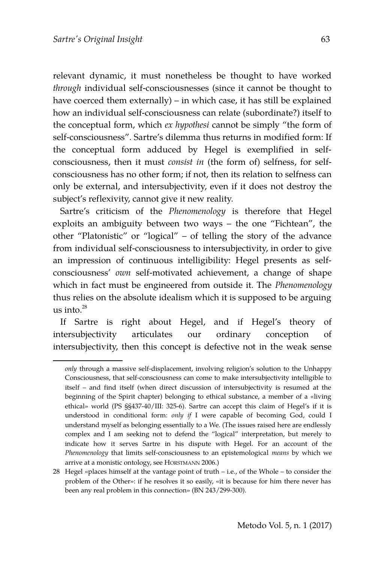relevant dynamic, it must nonetheless be thought to have worked *through* individual self-consciousnesses (since it cannot be thought to have coerced them externally) – in which case, it has still be explained how an individual self-consciousness can relate (subordinate?) itself to the conceptual form, which *ex hypothesi* cannot be simply "the form of self-consciousness". Sartre's dilemma thus returns in modified form: If the conceptual form adduced by Hegel is exemplified in selfconsciousness, then it must *consist in* (the form of) selfness, for selfconsciousness has no other form; if not, then its relation to selfness can only be external, and intersubjectivity, even if it does not destroy the subject's reflexivity, cannot give it new reality.

Sartre's criticism of the *Phenomenology* is therefore that Hegel exploits an ambiguity between two ways – the one "Fichtean", the other "Platonistic" or "logical" – of telling the story of the advance from individual self-consciousness to intersubjectivity, in order to give an impression of continuous intelligibility: Hegel presents as selfconsciousness' *own* self-motivated achievement, a change of shape which in fact must be engineered from outside it. The *Phenomenology* thus relies on the absolute idealism which it is supposed to be arguing us into. $^{28}$  $^{28}$  $^{28}$ 

If Sartre is right about Hegel, and if Hegel's theory of intersubjectivity articulates our ordinary conception of intersubjectivity, then this concept is defective not in the weak sense

*only* through a massive self-displacement, involving religion's solution to the Unhappy Consciousness, that self-consciousness can come to make intersubjectivity intelligible to itself – and find itself (when direct discussion of intersubjectivity is resumed at the beginning of the Spirit chapter) belonging to ethical substance, a member of a «living ethical» world (PS §§437-40/III: 325-6). Sartre can accept this claim of Hegel's if it is understood in conditional form: *only if* I were capable of becoming God, could I understand myself as belonging essentially to a We. (The issues raised here are endlessly complex and I am seeking not to defend the "logical" interpretation, but merely to indicate how it serves Sartre in his dispute with Hegel. For an account of the *Phenomenology* that limits self-consciousness to an epistemological *means* by which we arrive at a monistic ontology, see HORSTMANN 2006.)

<span id="page-18-0"></span><sup>28</sup> Hegel «places himself at the vantage point of truth – i.e., of the Whole – to consider the problem of the Other»: if he resolves it so easily, «it is because for him there never has been any real problem in this connection» (BN 243/299-300).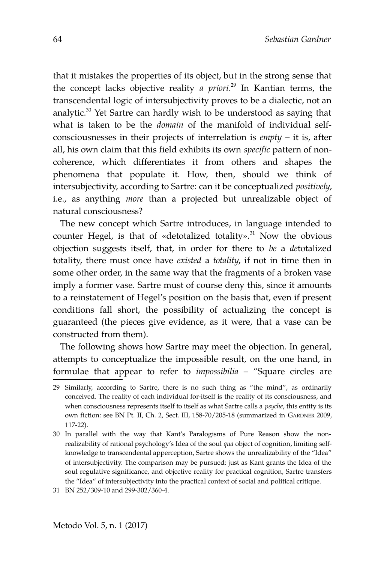that it mistakes the properties of its object, but in the strong sense that the concept lacks objective reality *a priori*. [29](#page-19-0) In Kantian terms, the transcendental logic of intersubjectivity proves to be a dialectic, not an analytic.<sup>[30](#page-19-1)</sup> Yet Sartre can hardly wish to be understood as saying that what is taken to be the *domain* of the manifold of individual selfconsciousnesses in their projects of interrelation is *empty* – it is, after all, his own claim that this field exhibits its own *specific* pattern of noncoherence, which differentiates it from others and shapes the phenomena that populate it. How, then, should we think of intersubjectivity, according to Sartre: can it be conceptualized *positively*, i.e., as anything *more* than a projected but unrealizable object of natural consciousness?

The new concept which Sartre introduces, in language intended to counter Hegel, is that of «detotalized totality». $31$  Now the obvious objection suggests itself, that, in order for there to *be* a *de*totalized totality, there must once have *existed* a *totality*, if not in time then in some other order, in the same way that the fragments of a broken vase imply a former vase. Sartre must of course deny this, since it amounts to a reinstatement of Hegel's position on the basis that, even if present conditions fall short, the possibility of actualizing the concept is guaranteed (the pieces give evidence, as it were, that a vase can be constructed from them).

The following shows how Sartre may meet the objection. In general, attempts to conceptualize the impossible result, on the one hand, in formulae that appear to refer to *impossibilia* – "Square circles are

<span id="page-19-0"></span><sup>29</sup> Similarly, according to Sartre, there is no such thing as "the mind", as ordinarily conceived. The reality of each individual for-itself is the reality of its consciousness, and when consciousness represents itself to itself as what Sartre calls a *psyche*, this entity is its own fiction: see BN Pt. II, Ch. 2, Sect. III, 158-70/205-18 (summarized in GARDNER 2009, 117-22).

<span id="page-19-1"></span><sup>30</sup> In parallel with the way that Kant's Paralogisms of Pure Reason show the nonrealizability of rational psychology's Idea of the soul *qua* object of cognition, limiting selfknowledge to transcendental apperception, Sartre shows the unrealizability of the "Idea" of intersubjectivity. The comparison may be pursued: just as Kant grants the Idea of the soul regulative significance, and objective reality for practical cognition, Sartre transfers the "Idea" of intersubjectivity into the practical context of social and political critique.

<span id="page-19-2"></span><sup>31</sup> BN 252/309-10 and 299-302/360-4.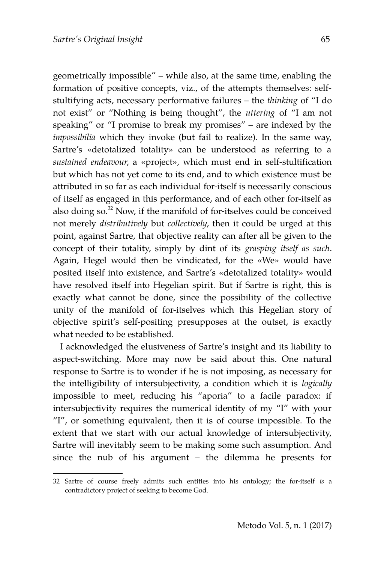geometrically impossible" – while also, at the same time, enabling the formation of positive concepts, viz., of the attempts themselves: selfstultifying acts, necessary performative failures – the *thinking* of "I do not exist" or "Nothing is being thought", the *uttering* of "I am not speaking" or "I promise to break my promises" – are indexed by the *impossibilia* which they invoke (but fail to realize). In the same way, Sartre's «detotalized totality» can be understood as referring to a *sustained endeavour*, a «project», which must end in self-stultification but which has not yet come to its end, and to which existence must be attributed in so far as each individual for-itself is necessarily conscious of itself as engaged in this performance, and of each other for-itself as also doing so.<sup>[32](#page-20-0)</sup> Now, if the manifold of for-itselves could be conceived not merely *distributively* but *collectively*, then it could be urged at this point, against Sartre, that objective reality can after all be given to the concept of their totality, simply by dint of its *grasping itself as such*. Again, Hegel would then be vindicated, for the «We» would have posited itself into existence, and Sartre's «detotalized totality» would have resolved itself into Hegelian spirit. But if Sartre is right, this is exactly what cannot be done, since the possibility of the collective unity of the manifold of for-itselves which this Hegelian story of objective spirit's self-positing presupposes at the outset, is exactly what needed to be established.

I acknowledged the elusiveness of Sartre's insight and its liability to aspect-switching. More may now be said about this. One natural response to Sartre is to wonder if he is not imposing, as necessary for the intelligibility of intersubjectivity, a condition which it is *logically* impossible to meet, reducing his "aporia" to a facile paradox: if intersubjectivity requires the numerical identity of my "I" with your "I", or something equivalent, then it is of course impossible. To the extent that we start with our actual knowledge of intersubjectivity, Sartre will inevitably seem to be making some such assumption. And since the nub of his argument – the dilemma he presents for

<span id="page-20-0"></span><sup>32</sup> Sartre of course freely admits such entities into his ontology; the for-itself *is* a contradictory project of seeking to become God.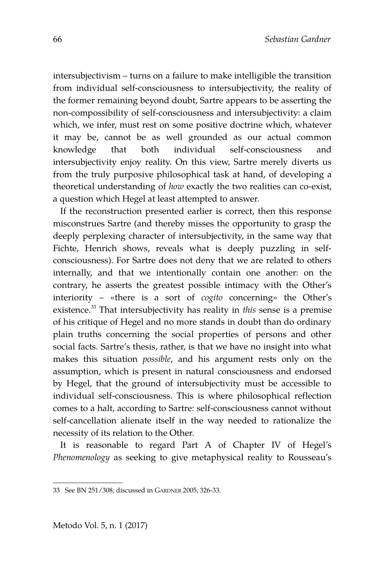intersubjectivism – turns on a failure to make intelligible the transition from individual self-consciousness to intersubjectivity, the reality of the former remaining beyond doubt, Sartre appears to be asserting the non-compossibility of self-consciousness and intersubjectivity: a claim which, we infer, must rest on some positive doctrine which, whatever it may be, cannot be as well grounded as our actual common knowledge that both individual self-consciousness and intersubjectivity enjoy reality. On this view, Sartre merely diverts us from the truly purposive philosophical task at hand, of developing a theoretical understanding of *how* exactly the two realities can co-exist, a question which Hegel at least attempted to answer.

If the reconstruction presented earlier is correct, then this response misconstrues Sartre (and thereby misses the opportunity to grasp the deeply perplexing character of intersubjectivity, in the same way that Fichte, Henrich shows, reveals what is deeply puzzling in selfconsciousness). For Sartre does not deny that we are related to others internally, and that we intentionally contain one another: on the contrary, he asserts the greatest possible intimacy with the Other's interiority – «there is a sort of *cogito* concerning» the Other's existence.[33](#page-21-0) That intersubjectivity has reality in *this* sense is a premise of his critique of Hegel and no more stands in doubt than do ordinary plain truths concerning the social properties of persons and other social facts. Sartre's thesis, rather, is that we have no insight into what makes this situation *possible*, and his argument rests only on the assumption, which is present in natural consciousness and endorsed by Hegel, that the ground of intersubjectivity must be accessible to individual self-consciousness. This is where philosophical reflection comes to a halt, according to Sartre: self-consciousness cannot without self-cancellation alienate itself in the way needed to rationalize the necessity of its relation to the Other.

It is reasonable to regard Part A of Chapter IV of Hegel's *Phenomenology* as seeking to give metaphysical reality to Rousseau's

<span id="page-21-0"></span><sup>33</sup> See BN 251/308; discussed in GARDNER 2005, 326-33.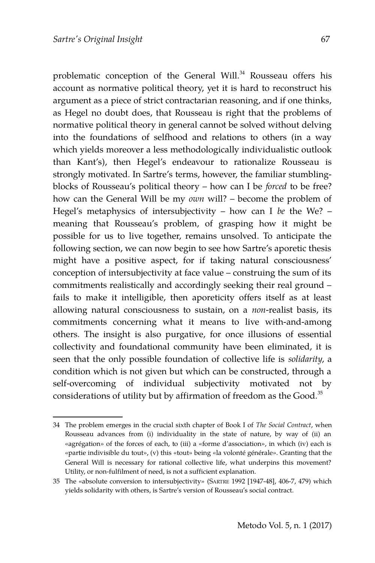problematic conception of the General Will.<sup>[34](#page-22-0)</sup> Rousseau offers his account as normative political theory, yet it is hard to reconstruct his argument as a piece of strict contractarian reasoning, and if one thinks, as Hegel no doubt does, that Rousseau is right that the problems of normative political theory in general cannot be solved without delving into the foundations of selfhood and relations to others (in a way which yields moreover a less methodologically individualistic outlook than Kant's), then Hegel's endeavour to rationalize Rousseau is strongly motivated. In Sartre's terms, however, the familiar stumblingblocks of Rousseau's political theory – how can I be *forced* to be free? how can the General Will be my *own* will? – become the problem of Hegel's metaphysics of intersubjectivity – how can I *be* the We? – meaning that Rousseau's problem, of grasping how it might be possible for us to live together, remains unsolved. To anticipate the following section, we can now begin to see how Sartre's aporetic thesis might have a positive aspect, for if taking natural consciousness' conception of intersubjectivity at face value – construing the sum of its commitments realistically and accordingly seeking their real ground – fails to make it intelligible, then aporeticity offers itself as at least allowing natural consciousness to sustain, on a *non*-realist basis, its commitments concerning what it means to live with-and-among others. The insight is also purgative, for once illusions of essential collectivity and foundational community have been eliminated, it is seen that the only possible foundation of collective life is *solidarity*, a condition which is not given but which can be constructed, through a self-overcoming of individual subjectivity motivated not by considerations of utility but by affirmation of freedom as the Good.<sup>[35](#page-22-1)</sup>

<span id="page-22-0"></span><sup>34</sup> The problem emerges in the crucial sixth chapter of Book I of *The Social Contract*, when Rousseau advances from (i) individuality in the state of nature, by way of (ii) an «agrégation» of the forces of each, to (iii) a «forme d'association», in which (iv) each is «partie indivisible du tout», (v) this «tout» being «la volonté générale». Granting that the General Will is necessary for rational collective life, what underpins this movement? Utility, or non-fulfilment of need, is not a sufficient explanation.

<span id="page-22-1"></span><sup>35</sup> The «absolute conversion to intersubjectivity» (SARTRE 1992 [1947-48], 406-7, 479) which yields solidarity with others, is Sartre's version of Rousseau's social contract.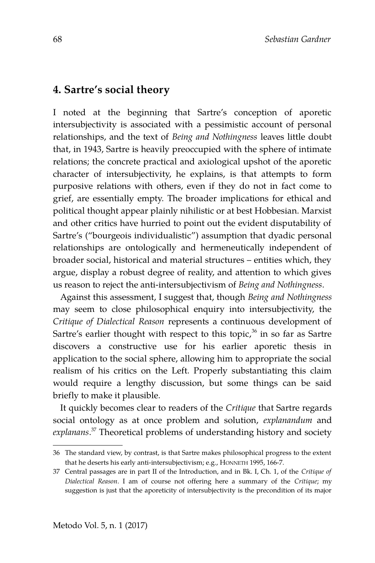### **4. Sartre's social theory**

I noted at the beginning that Sartre's conception of aporetic intersubjectivity is associated with a pessimistic account of personal relationships, and the text of *Being and Nothingness* leaves little doubt that, in 1943, Sartre is heavily preoccupied with the sphere of intimate relations; the concrete practical and axiological upshot of the aporetic character of intersubjectivity, he explains, is that attempts to form purposive relations with others, even if they do not in fact come to grief, are essentially empty. The broader implications for ethical and political thought appear plainly nihilistic or at best Hobbesian. Marxist and other critics have hurried to point out the evident disputability of Sartre's ("bourgeois individualistic") assumption that dyadic personal relationships are ontologically and hermeneutically independent of broader social, historical and material structures – entities which, they argue, display a robust degree of reality, and attention to which gives us reason to reject the anti-intersubjectivism of *Being and Nothingness*.

Against this assessment, I suggest that, though *Being and Nothingness* may seem to close philosophical enquiry into intersubjectivity, the *Critique of Dialectical Reason* represents a continuous development of Sartre's earlier thought with respect to this topic, $36$  in so far as Sartre discovers a constructive use for his earlier aporetic thesis in application to the social sphere, allowing him to appropriate the social realism of his critics on the Left. Properly substantiating this claim would require a lengthy discussion, but some things can be said briefly to make it plausible.

It quickly becomes clear to readers of the *Critique* that Sartre regards social ontology as at once problem and solution, *explanandum* and *explanans*. [37](#page-23-1) Theoretical problems of understanding history and society

<span id="page-23-0"></span><sup>36</sup> The standard view, by contrast, is that Sartre makes philosophical progress to the extent that he deserts his early anti-intersubjectivism; e.g., HONNETH 1995, 166-7.

<span id="page-23-1"></span><sup>37</sup> Central passages are in part II of the Introduction, and in Bk. I, Ch. 1, of the *Critique of Dialectical Reason*. I am of course not offering here a summary of the *Critique*; my suggestion is just that the aporeticity of intersubjectivity is the precondition of its major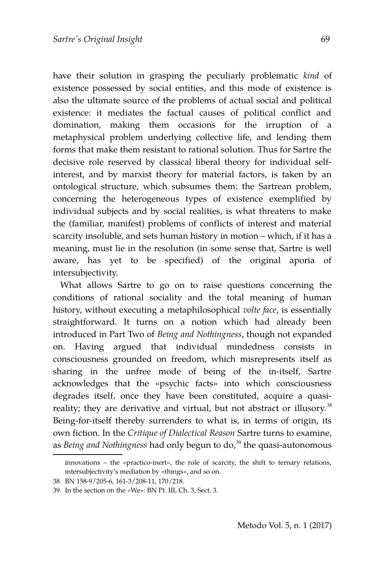have their solution in grasping the peculiarly problematic *kind* of existence possessed by social entities, and this mode of existence is also the ultimate source of the problems of actual social and political existence: it mediates the factual causes of political conflict and domination, making them occasions for the irruption of a metaphysical problem underlying collective life, and lending them forms that make them resistant to rational solution. Thus for Sartre the decisive role reserved by classical liberal theory for individual selfinterest, and by marxist theory for material factors, is taken by an ontological structure, which subsumes them: the Sartrean problem, concerning the heterogeneous types of existence exemplified by individual subjects and by social realities, is what threatens to make the (familiar, manifest) problems of conflicts of interest and material scarcity insoluble, and sets human history in motion – which, if it has a meaning, must lie in the resolution (in some sense that, Sartre is well aware, has yet to be specified) of the original aporia of intersubjectivity.

What allows Sartre to go on to raise questions concerning the conditions of rational sociality and the total meaning of human history, without executing a metaphilosophical *volte face*, is essentially straightforward. It turns on a notion which had already been introduced in Part Two of *Being and Nothingness*, though not expanded on. Having argued that individual mindedness consists in consciousness grounded on freedom, which misrepresents itself as sharing in the unfree mode of being of the in-itself, Sartre acknowledges that the «psychic facts» into which consciousness degrades itself, once they have been constituted, acquire a quasi-reality; they are derivative and virtual, but not abstract or illusory.<sup>[38](#page-24-0)</sup> Being-for-itself thereby surrenders to what is, in terms of origin, its own fiction. In the *Critique of Dialectical Reason* Sartre turns to examine, as *Being and Nothingness* had only begun to do,<sup>[39](#page-24-1)</sup> the quasi-autonomous

innovations – the «practico-inert», the role of scarcity, the shift to ternary relations, intersubjectivity's mediation by «things», and so on.

<span id="page-24-0"></span><sup>38</sup> BN 158-9/205-6, 161-3/208-11, 170/218.

<span id="page-24-1"></span><sup>39</sup> In the section on the «We»: BN Pt. III, Ch. 3, Sect. 3.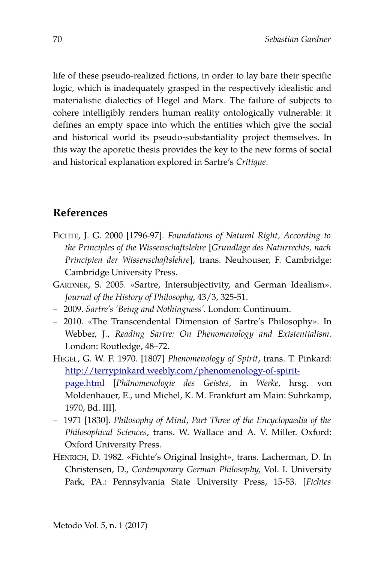life of these pseudo-realized fictions, in order to lay bare their specific logic, which is inadequately grasped in the respectively idealistic and materialistic dialectics of Hegel and Marx. The failure of subjects to cohere intelligibly renders human reality ontologically vulnerable: it defines an empty space into which the entities which give the social and historical world its pseudo-substantiality project themselves. In this way the aporetic thesis provides the key to the new forms of social and historical explanation explored in Sartre's *Critique*.

# **References**

- FICHTE, J. G. 2000 [1796-97]. *Foundations of Natural Right, According to the Principles of the Wissenschaftslehre* [*Grundlage des Naturrechts, nach Principien der Wissenschaftslehre*], trans. Neuhouser, F. Cambridge: Cambridge University Press.
- GARDNER, S. 2005. «Sartre, Intersubjectivity, and German Idealism». *Journal of the History of Philosophy*, 43/3, 325-51.
- 2009. *Sartre's 'Being and Nothingness'*. London: Continuum.
- 2010. «The Transcendental Dimension of Sartre's Philosophy». In Webber, J., *Reading Sartre: On Phenomenology and Existentialism*. London: Routledge, 48–72.
- HEGEL, G. W. F. 1970. [1807] *Phenomenology of Spirit*, trans. T. Pinkard: [http://terrypinkard.weebly.com/phenomenology-of-spirit](http://terrypinkard.weebly.com/phenomenology-of-spirit-page.html)[page.html](http://terrypinkard.weebly.com/phenomenology-of-spirit-page.html) [*Phänomenologie des Geistes*, in *Werke*, hrsg. von Moldenhauer, E., und Michel, K. M. Frankfurt am Main: Suhrkamp, 1970, Bd. III].
- 1971 [1830]. *Philosophy of Mind*, *Part Three of the Encyclopaedia of the Philosophical Sciences*, trans. W. Wallace and A. V. Miller. Oxford: Oxford University Press.
- HENRICH, D. 1982. «Fichte's Original Insight», trans. Lacherman, D. In Christensen, D., *Contemporary German Philosophy*, Vol. I. University Park, PA.: Pennsylvania State University Press, 15-53. [*Fichtes*